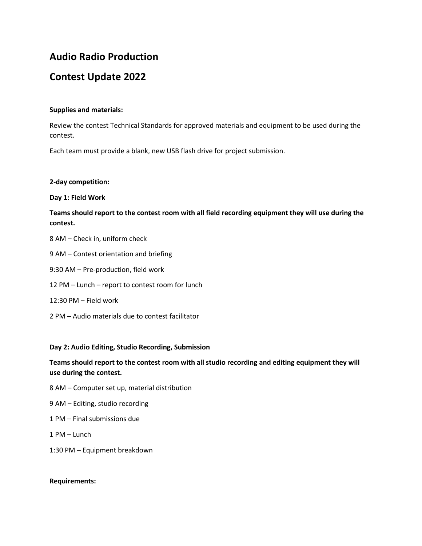# **Audio Radio Production**

# **Contest Update 2022**

## **Supplies and materials:**

Review the contest Technical Standards for approved materials and equipment to be used during the contest.

Each team must provide a blank, new USB flash drive for project submission.

### **2-day competition:**

### **Day 1: Field Work**

## **Teams should report to the contest room with all field recording equipment they will use during the contest.**

- 8 AM Check in, uniform check
- 9 AM Contest orientation and briefing
- 9:30 AM Pre-production, field work
- 12 PM Lunch report to contest room for lunch
- 12:30 PM Field work
- 2 PM Audio materials due to contest facilitator

### **Day 2: Audio Editing, Studio Recording, Submission**

## **Teams should report to the contest room with all studio recording and editing equipment they will use during the contest.**

- 8 AM Computer set up, material distribution
- 9 AM Editing, studio recording
- 1 PM Final submissions due
- 1 PM Lunch
- 1:30 PM Equipment breakdown

#### **Requirements:**